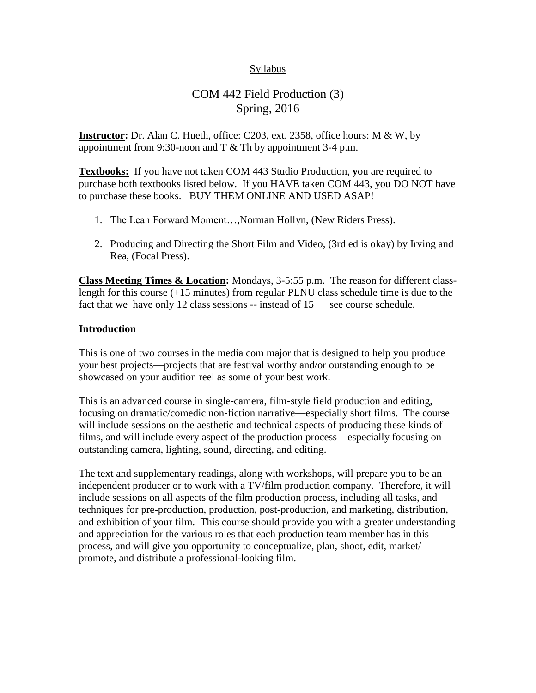## Syllabus

# COM 442 Field Production (3) Spring, 2016

**Instructor:** Dr. Alan C. Hueth, office: C203, ext. 2358, office hours: M & W, by appointment from 9:30-noon and  $T \&$  Th by appointment 3-4 p.m.

**Textbooks:** If you have not taken COM 443 Studio Production, **y**ou are required to purchase both textbooks listed below. If you HAVE taken COM 443, you DO NOT have to purchase these books. BUY THEM ONLINE AND USED ASAP!

- 1. The Lean Forward Moment…,Norman Hollyn, (New Riders Press).
- 2. Producing and Directing the Short Film and Video, (3rd ed is okay) by Irving and Rea, (Focal Press).

**Class Meeting Times & Location:** Mondays, 3-5:55 p.m. The reason for different classlength for this course (+15 minutes) from regular PLNU class schedule time is due to the fact that we have only 12 class sessions -- instead of  $15$  — see course schedule.

## **Introduction**

This is one of two courses in the media com major that is designed to help you produce your best projects—projects that are festival worthy and/or outstanding enough to be showcased on your audition reel as some of your best work.

This is an advanced course in single-camera, film-style field production and editing, focusing on dramatic/comedic non-fiction narrative—especially short films. The course will include sessions on the aesthetic and technical aspects of producing these kinds of films, and will include every aspect of the production process—especially focusing on outstanding camera, lighting, sound, directing, and editing.

The text and supplementary readings, along with workshops, will prepare you to be an independent producer or to work with a TV/film production company. Therefore, it will include sessions on all aspects of the film production process, including all tasks, and techniques for pre-production, production, post-production, and marketing, distribution, and exhibition of your film. This course should provide you with a greater understanding and appreciation for the various roles that each production team member has in this process, and will give you opportunity to conceptualize, plan, shoot, edit, market/ promote, and distribute a professional-looking film.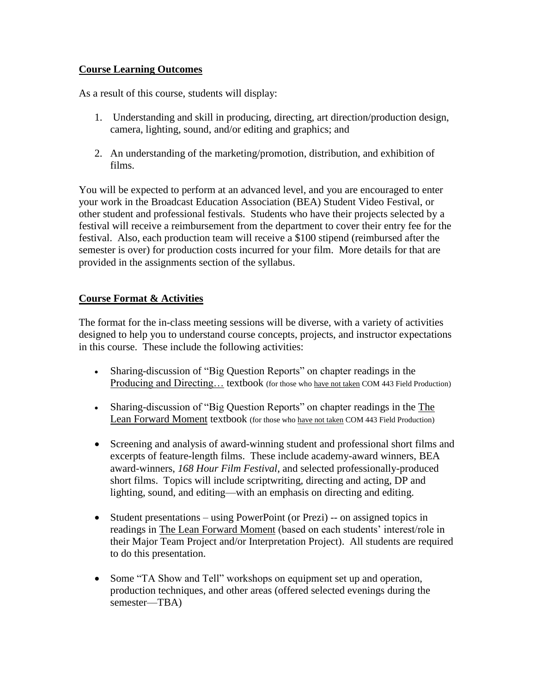# **Course Learning Outcomes**

As a result of this course, students will display:

- 1. Understanding and skill in producing, directing, art direction/production design, camera, lighting, sound, and/or editing and graphics; and
- 2. An understanding of the marketing/promotion, distribution, and exhibition of films.

You will be expected to perform at an advanced level, and you are encouraged to enter your work in the Broadcast Education Association (BEA) Student Video Festival, or other student and professional festivals. Students who have their projects selected by a festival will receive a reimbursement from the department to cover their entry fee for the festival. Also, each production team will receive a \$100 stipend (reimbursed after the semester is over) for production costs incurred for your film. More details for that are provided in the assignments section of the syllabus.

# **Course Format & Activities**

The format for the in-class meeting sessions will be diverse, with a variety of activities designed to help you to understand course concepts, projects, and instructor expectations in this course. These include the following activities:

- Sharing-discussion of "Big Question Reports" on chapter readings in the Producing and Directing... textbook (for those who have not taken COM 443 Field Production)
- Sharing-discussion of "Big Question Reports" on chapter readings in the The Lean Forward Moment textbook (for those who have not taken COM 443 Field Production)
- Screening and analysis of award-winning student and professional short films and excerpts of feature-length films. These include academy-award winners, BEA award-winners, *168 Hour Film Festival*, and selected professionally-produced short films. Topics will include scriptwriting, directing and acting, DP and lighting, sound, and editing—with an emphasis on directing and editing.
- Student presentations using PowerPoint (or Prezi) -- on assigned topics in readings in The Lean Forward Moment (based on each students' interest/role in their Major Team Project and/or Interpretation Project). All students are required to do this presentation.
- Some "TA Show and Tell" workshops on equipment set up and operation, production techniques, and other areas (offered selected evenings during the semester—TBA)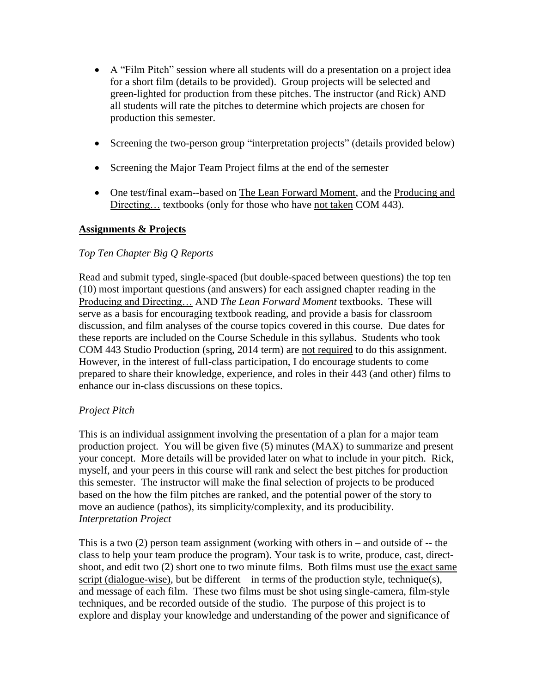- A "Film Pitch" session where all students will do a presentation on a project idea for a short film (details to be provided). Group projects will be selected and green-lighted for production from these pitches. The instructor (and Rick) AND all students will rate the pitches to determine which projects are chosen for production this semester.
- Screening the two-person group "interpretation projects" (details provided below)
- Screening the Major Team Project films at the end of the semester
- One test/final exam--based on The Lean Forward Moment, and the Producing and Directing... textbooks (only for those who have not taken COM 443).

## **Assignments & Projects**

## *Top Ten Chapter Big Q Reports*

Read and submit typed, single-spaced (but double-spaced between questions) the top ten (10) most important questions (and answers) for each assigned chapter reading in the Producing and Directing… AND *The Lean Forward Moment* textbooks. These will serve as a basis for encouraging textbook reading, and provide a basis for classroom discussion, and film analyses of the course topics covered in this course. Due dates for these reports are included on the Course Schedule in this syllabus. Students who took COM 443 Studio Production (spring, 2014 term) are not required to do this assignment. However, in the interest of full-class participation, I do encourage students to come prepared to share their knowledge, experience, and roles in their 443 (and other) films to enhance our in-class discussions on these topics.

## *Project Pitch*

This is an individual assignment involving the presentation of a plan for a major team production project. You will be given five (5) minutes (MAX) to summarize and present your concept. More details will be provided later on what to include in your pitch. Rick, myself, and your peers in this course will rank and select the best pitches for production this semester. The instructor will make the final selection of projects to be produced – based on the how the film pitches are ranked, and the potential power of the story to move an audience (pathos), its simplicity/complexity, and its producibility. *Interpretation Project*

This is a two  $(2)$  person team assignment (working with others in – and outside of -- the class to help your team produce the program). Your task is to write, produce, cast, directshoot, and edit two (2) short one to two minute films. Both films must use the exact same script (dialogue-wise), but be different—in terms of the production style, technique(s), and message of each film. These two films must be shot using single-camera, film-style techniques, and be recorded outside of the studio. The purpose of this project is to explore and display your knowledge and understanding of the power and significance of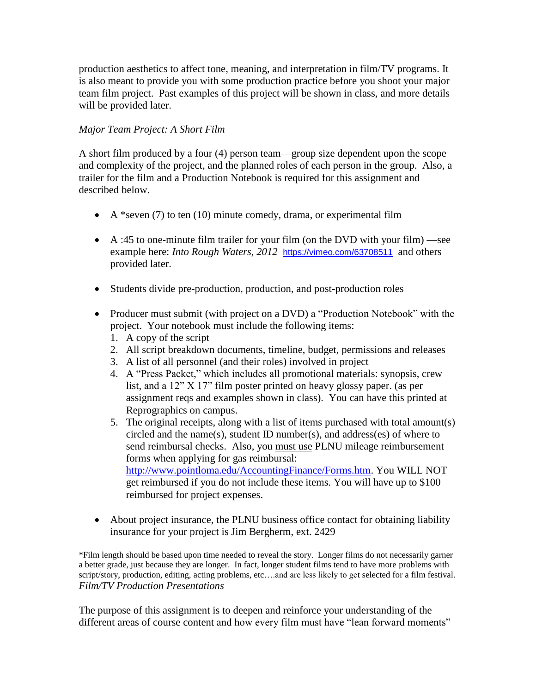production aesthetics to affect tone, meaning, and interpretation in film/TV programs. It is also meant to provide you with some production practice before you shoot your major team film project. Past examples of this project will be shown in class, and more details will be provided later.

# *Major Team Project: A Short Film*

A short film produced by a four (4) person team—group size dependent upon the scope and complexity of the project, and the planned roles of each person in the group. Also, a trailer for the film and a Production Notebook is required for this assignment and described below.

- $\bullet$  A \*seven (7) to ten (10) minute comedy, drama, or experimental film
- A :45 to one-minute film trailer for your film (on the DVD with your film) —see example here: *Into Rough Waters, 2012* <https://vimeo.com/63708511> and others provided later.
- Students divide pre-production, production, and post-production roles
- Producer must submit (with project on a DVD) a "Production Notebook" with the project. Your notebook must include the following items:
	- 1. A copy of the script
	- 2. All script breakdown documents, timeline, budget, permissions and releases
	- 3. A list of all personnel (and their roles) involved in project
	- 4. A "Press Packet," which includes all promotional materials: synopsis, crew list, and a 12" X 17" film poster printed on heavy glossy paper. (as per assignment reqs and examples shown in class). You can have this printed at Reprographics on campus.
	- 5. The original receipts, along with a list of items purchased with total amount(s) circled and the name(s), student ID number(s), and address(es) of where to send reimbursal checks. Also, you must use PLNU mileage reimbursement forms when applying for gas reimbursal: [http://www.pointloma.edu/AccountingFinance/Forms.htm.](http://www.pointloma.edu/AccountingFinance/Forms.htm) You WILL NOT get reimbursed if you do not include these items. You will have up to \$100 reimbursed for project expenses.
- About project insurance, the PLNU business office contact for obtaining liability insurance for your project is Jim Bergherm, ext. 2429

\*Film length should be based upon time needed to reveal the story. Longer films do not necessarily garner a better grade, just because they are longer. In fact, longer student films tend to have more problems with script/story, production, editing, acting problems, etc….and are less likely to get selected for a film festival. *Film/TV Production Presentations*

The purpose of this assignment is to deepen and reinforce your understanding of the different areas of course content and how every film must have "lean forward moments"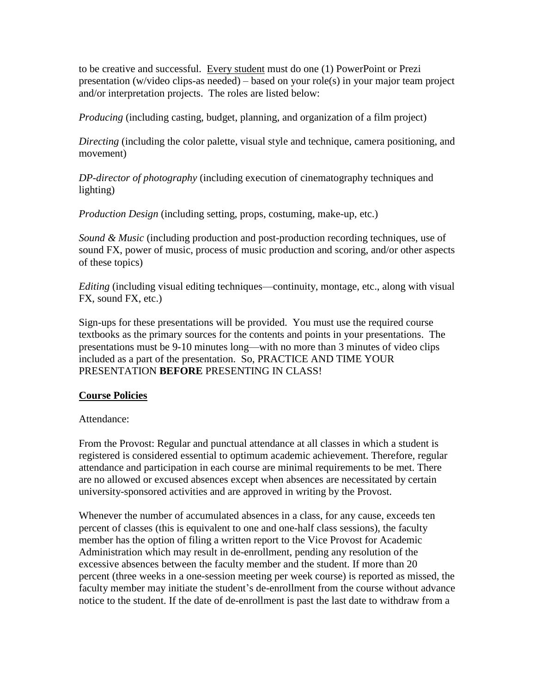to be creative and successful. Every student must do one (1) PowerPoint or Prezi presentation (w/video clips-as needed) – based on your role(s) in your major team project and/or interpretation projects. The roles are listed below:

*Producing* (including casting, budget, planning, and organization of a film project)

*Directing* (including the color palette, visual style and technique, camera positioning, and movement)

*DP-director of photography* (including execution of cinematography techniques and lighting)

*Production Design* (including setting, props, costuming, make-up, etc.)

*Sound & Music* (including production and post-production recording techniques, use of sound FX, power of music, process of music production and scoring, and/or other aspects of these topics)

*Editing* (including visual editing techniques—continuity, montage, etc., along with visual FX, sound FX, etc.)

Sign-ups for these presentations will be provided. You must use the required course textbooks as the primary sources for the contents and points in your presentations. The presentations must be 9-10 minutes long—with no more than 3 minutes of video clips included as a part of the presentation. So, PRACTICE AND TIME YOUR PRESENTATION **BEFORE** PRESENTING IN CLASS!

## **Course Policies**

## Attendance:

From the Provost: Regular and punctual attendance at all classes in which a student is registered is considered essential to optimum academic achievement. Therefore, regular attendance and participation in each course are minimal requirements to be met. There are no allowed or excused absences except when absences are necessitated by certain university-sponsored activities and are approved in writing by the Provost.

Whenever the number of accumulated absences in a class, for any cause, exceeds ten percent of classes (this is equivalent to one and one-half class sessions), the faculty member has the option of filing a written report to the Vice Provost for Academic Administration which may result in de-enrollment, pending any resolution of the excessive absences between the faculty member and the student. If more than 20 percent (three weeks in a one-session meeting per week course) is reported as missed, the faculty member may initiate the student's de-enrollment from the course without advance notice to the student. If the date of de-enrollment is past the last date to withdraw from a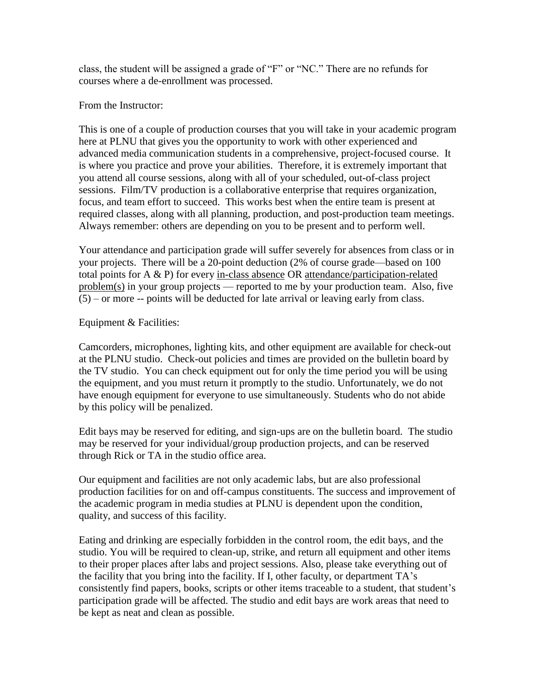class, the student will be assigned a grade of "F" or "NC." There are no refunds for courses where a de-enrollment was processed.

## From the Instructor:

This is one of a couple of production courses that you will take in your academic program here at PLNU that gives you the opportunity to work with other experienced and advanced media communication students in a comprehensive, project-focused course. It is where you practice and prove your abilities. Therefore, it is extremely important that you attend all course sessions, along with all of your scheduled, out-of-class project sessions. Film/TV production is a collaborative enterprise that requires organization, focus, and team effort to succeed. This works best when the entire team is present at required classes, along with all planning, production, and post-production team meetings. Always remember: others are depending on you to be present and to perform well.

Your attendance and participation grade will suffer severely for absences from class or in your projects. There will be a 20-point deduction (2% of course grade—based on 100 total points for A & P) for every in-class absence OR attendance/participation-related problem(s) in your group projects — reported to me by your production team. Also, five  $(5)$  – or more -- points will be deducted for late arrival or leaving early from class.

## Equipment & Facilities:

Camcorders, microphones, lighting kits, and other equipment are available for check-out at the PLNU studio. Check-out policies and times are provided on the bulletin board by the TV studio. You can check equipment out for only the time period you will be using the equipment, and you must return it promptly to the studio. Unfortunately, we do not have enough equipment for everyone to use simultaneously. Students who do not abide by this policy will be penalized.

Edit bays may be reserved for editing, and sign-ups are on the bulletin board. The studio may be reserved for your individual/group production projects, and can be reserved through Rick or TA in the studio office area.

Our equipment and facilities are not only academic labs, but are also professional production facilities for on and off-campus constituents. The success and improvement of the academic program in media studies at PLNU is dependent upon the condition, quality, and success of this facility.

Eating and drinking are especially forbidden in the control room, the edit bays, and the studio. You will be required to clean-up, strike, and return all equipment and other items to their proper places after labs and project sessions. Also, please take everything out of the facility that you bring into the facility. If I, other faculty, or department TA's consistently find papers, books, scripts or other items traceable to a student, that student's participation grade will be affected. The studio and edit bays are work areas that need to be kept as neat and clean as possible.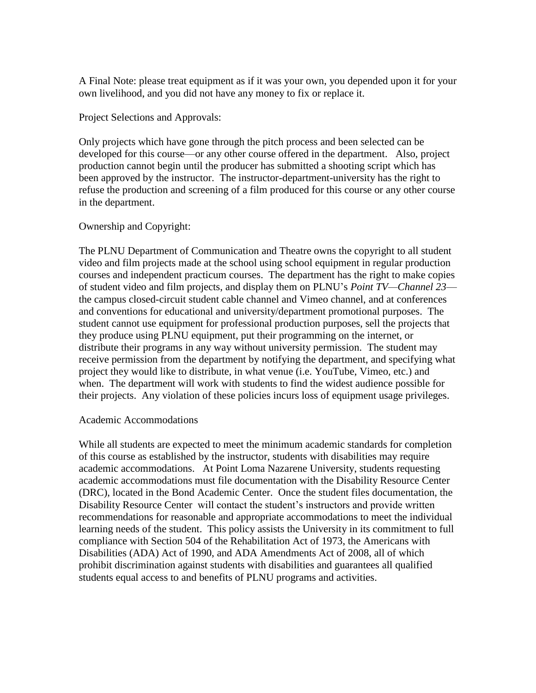A Final Note: please treat equipment as if it was your own, you depended upon it for your own livelihood, and you did not have any money to fix or replace it.

#### Project Selections and Approvals:

Only projects which have gone through the pitch process and been selected can be developed for this course—or any other course offered in the department. Also, project production cannot begin until the producer has submitted a shooting script which has been approved by the instructor. The instructor-department-university has the right to refuse the production and screening of a film produced for this course or any other course in the department.

## Ownership and Copyright:

The PLNU Department of Communication and Theatre owns the copyright to all student video and film projects made at the school using school equipment in regular production courses and independent practicum courses. The department has the right to make copies of student video and film projects, and display them on PLNU's *Point TV—Channel 23* the campus closed-circuit student cable channel and Vimeo channel, and at conferences and conventions for educational and university/department promotional purposes. The student cannot use equipment for professional production purposes, sell the projects that they produce using PLNU equipment, put their programming on the internet, or distribute their programs in any way without university permission. The student may receive permission from the department by notifying the department, and specifying what project they would like to distribute, in what venue (i.e. YouTube, Vimeo, etc.) and when. The department will work with students to find the widest audience possible for their projects. Any violation of these policies incurs loss of equipment usage privileges.

#### Academic Accommodations

While all students are expected to meet the minimum academic standards for completion of this course as established by the instructor, students with disabilities may require academic accommodations. At Point Loma Nazarene University, students requesting academic accommodations must file documentation with the Disability Resource Center (DRC), located in the Bond Academic Center. Once the student files documentation, the Disability Resource Center will contact the student's instructors and provide written recommendations for reasonable and appropriate accommodations to meet the individual learning needs of the student. This policy assists the University in its commitment to full compliance with Section 504 of the Rehabilitation Act of 1973, the Americans with Disabilities (ADA) Act of 1990, and ADA Amendments Act of 2008, all of which prohibit discrimination against students with disabilities and guarantees all qualified students equal access to and benefits of PLNU programs and activities.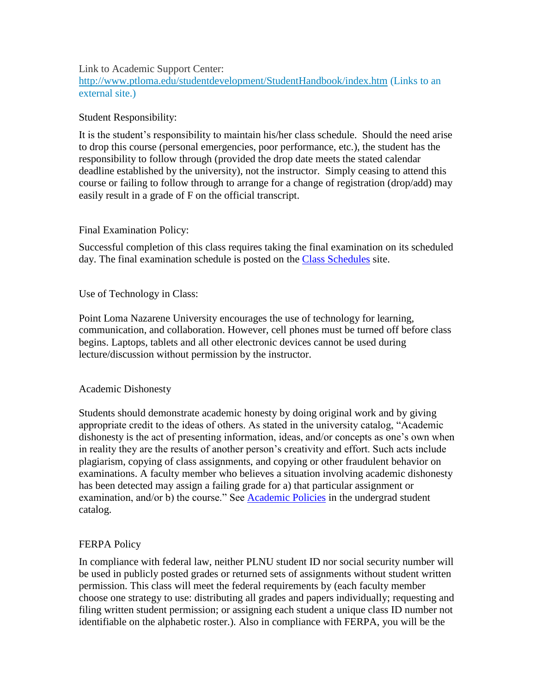#### Link to Academic Support Center:

<http://www.ptloma.edu/studentdevelopment/StudentHandbook/index.htm> (Links to an [external](http://www.ptloma.edu/studentdevelopment/StudentHandbook/index.htm) site.)

## Student Responsibility:

It is the student's responsibility to maintain his/her class schedule. Should the need arise to drop this course (personal emergencies, poor performance, etc.), the student has the responsibility to follow through (provided the drop date meets the stated calendar deadline established by the university), not the instructor. Simply ceasing to attend this course or failing to follow through to arrange for a change of registration (drop/add) may easily result in a grade of F on the official transcript.

## Final Examination Policy:

Successful completion of this class requires taking the final examination on its scheduled day. The final examination schedule is posted on the [Class Schedules](http://www.pointloma.edu/experience/academics/class-schedules) site.

## Use of Technology in Class:

Point Loma Nazarene University encourages the use of technology for learning, communication, and collaboration. However, cell phones must be turned off before class begins. Laptops, tablets and all other electronic devices cannot be used during lecture/discussion without permission by the instructor.

## Academic Dishonesty

Students should demonstrate academic honesty by doing original work and by giving appropriate credit to the ideas of others. As stated in the university catalog, "Academic dishonesty is the act of presenting information, ideas, and/or concepts as one's own when in reality they are the results of another person's creativity and effort. Such acts include plagiarism, copying of class assignments, and copying or other fraudulent behavior on examinations. A faculty member who believes a situation involving academic dishonesty has been detected may assign a failing grade for a) that particular assignment or examination, and/or b) the course." See [Academic Policies](http://www.pointloma.edu/experience/academics/catalogs/undergraduate-catalog/point-loma-education/academic-policies) in the undergrad student catalog.

## FERPA Policy

In compliance with federal law, neither PLNU student ID nor social security number will be used in publicly posted grades or returned sets of assignments without student written permission. This class will meet the federal requirements by (each faculty member choose one strategy to use: distributing all grades and papers individually; requesting and filing written student permission; or assigning each student a unique class ID number not identifiable on the alphabetic roster.). Also in compliance with FERPA, you will be the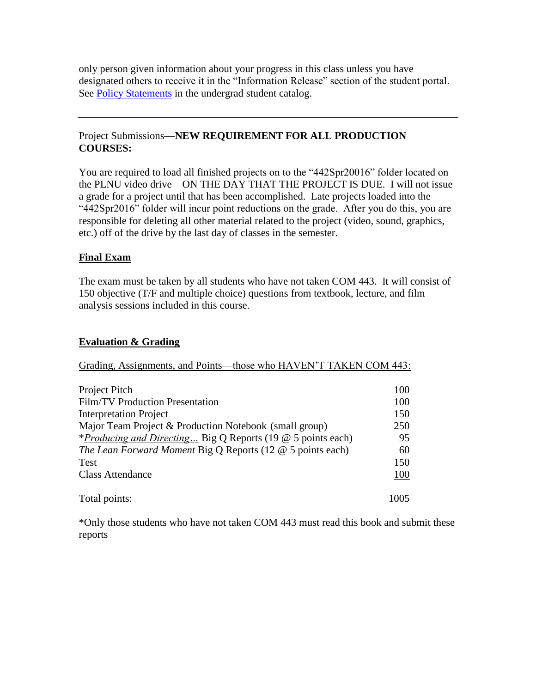only person given information about your progress in this class unless you have designated others to receive it in the "Information Release" section of the student portal. See [Policy Statements](http://www.pointloma.edu/experience/academics/catalogs/undergraduate-catalog/policy-statements) in the undergrad student catalog.

# Project Submissions—**NEW REQUIREMENT FOR ALL PRODUCTION COURSES:**

You are required to load all finished projects on to the "442Spr20016" folder located on the PLNU video drive—ON THE DAY THAT THE PROJECT IS DUE. I will not issue a grade for a project until that has been accomplished. Late projects loaded into the "442Spr2016" folder will incur point reductions on the grade. After you do this, you are responsible for deleting all other material related to the project (video, sound, graphics, etc.) off of the drive by the last day of classes in the semester.

# **Final Exam**

The exam must be taken by all students who have not taken COM 443. It will consist of 150 objective (T/F and multiple choice) questions from textbook, lecture, and film analysis sessions included in this course.

# **Evaluation & Grading**

# Grading, Assignments, and Points—those who HAVEN'T TAKEN COM 443:

| Project Pitch                                                      | 100  |
|--------------------------------------------------------------------|------|
| Film/TV Production Presentation                                    | 100  |
| <b>Interpretation Project</b>                                      | 150  |
| Major Team Project & Production Notebook (small group)             | 250  |
| <i>*Producing and Directing</i> Big Q Reports (19 @ 5 points each) | 95   |
| The Lean Forward Moment Big Q Reports (12 $@$ 5 points each)       | 60   |
| <b>Test</b>                                                        | 150  |
| <b>Class Attendance</b>                                            | 100  |
| Total points:                                                      | 1005 |

\*Only those students who have not taken COM 443 must read this book and submit these reports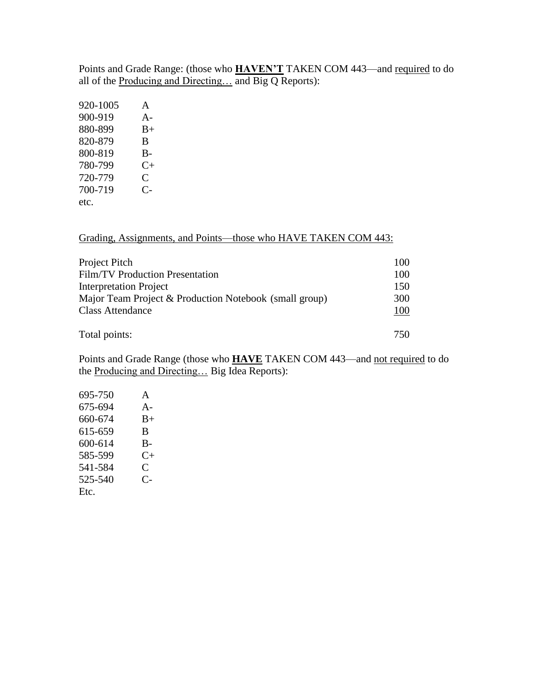Points and Grade Range: (those who **HAVEN'T** TAKEN COM 443—and required to do all of the Producing and Directing… and Big Q Reports):

| 920-1005 | A                    |
|----------|----------------------|
| 900-919  | $A -$                |
| 880-899  | $_{\rm B+}$          |
| 820-879  | B                    |
| 800-819  | B-                   |
| 780-799  | $C+$                 |
| 720-779  | C                    |
| 700-719  | $\mathsf{C}\text{-}$ |
| etc.     |                      |

Grading, Assignments, and Points—those who HAVE TAKEN COM 443:

| Project Pitch                                          | 100 |
|--------------------------------------------------------|-----|
| Film/TV Production Presentation                        | 100 |
| <b>Interpretation Project</b>                          | 150 |
| Major Team Project & Production Notebook (small group) | 300 |
| <b>Class Attendance</b>                                | 100 |
| Total points:                                          | 750 |

Points and Grade Range (those who **HAVE** TAKEN COM 443—and not required to do the Producing and Directing… Big Idea Reports):

| 695-750 | A                    |
|---------|----------------------|
| 675-694 | $A -$                |
| 660-674 | $B+$                 |
| 615-659 | B                    |
| 600-614 | $B-$                 |
| 585-599 | $C_{\pm}$            |
| 541-584 | C                    |
| 525-540 | $\mathsf{C}\text{-}$ |
| Etc.    |                      |
|         |                      |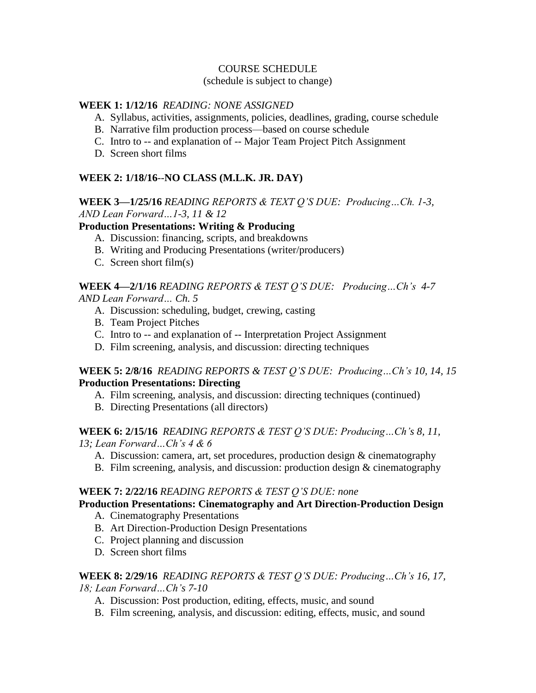## COURSE SCHEDULE

## (schedule is subject to change)

## **WEEK 1: 1/12/16** *READING: NONE ASSIGNED*

- A. Syllabus, activities, assignments, policies, deadlines, grading, course schedule
- B. Narrative film production process—based on course schedule
- C. Intro to -- and explanation of -- Major Team Project Pitch Assignment
- D. Screen short films

# **WEEK 2: 1/18/16**--**NO CLASS (M.L.K. JR. DAY)**

# **WEEK 3—1/25/16** *READING REPORTS & TEXT Q'S DUE: Producing…Ch. 1-3, AND Lean Forward…1-3, 11 & 12*

## **Production Presentations: Writing & Producing**

- A. Discussion: financing, scripts, and breakdowns
- B. Writing and Producing Presentations (writer/producers)
- C. Screen short film(s)

#### **WEEK 4—2/1/16** *READING REPORTS & TEST Q'S DUE: Producing…Ch's 4-7 AND Lean Forward… Ch. 5*

- A. Discussion: scheduling, budget, crewing, casting
- B. Team Project Pitches
- C. Intro to -- and explanation of -- Interpretation Project Assignment
- D. Film screening, analysis, and discussion: directing techniques

## **WEEK 5: 2/8/16** *READING REPORTS & TEST Q'S DUE: Producing…Ch's 10, 14, 15* **Production Presentations: Directing**

- A. Film screening, analysis, and discussion: directing techniques (continued)
- B. Directing Presentations (all directors)

# **WEEK 6: 2/15/16** *READING REPORTS & TEST Q'S DUE: Producing…Ch's 8, 11,*

*13; Lean Forward…Ch's 4 & 6*

- A. Discussion: camera, art, set procedures, production design & cinematography
- B. Film screening, analysis, and discussion: production design & cinematography

## **WEEK 7: 2/22/16** *READING REPORTS & TEST Q'S DUE: none*

# **Production Presentations: Cinematography and Art Direction-Production Design**

- A. Cinematography Presentations
- B. Art Direction-Production Design Presentations
- C. Project planning and discussion
- D. Screen short films

## **WEEK 8: 2/29/16** *READING REPORTS & TEST Q'S DUE: Producing…Ch's 16, 17,*

*18; Lean Forward…Ch's 7-10*

- A. Discussion: Post production, editing, effects, music, and sound
- B. Film screening, analysis, and discussion: editing, effects, music, and sound